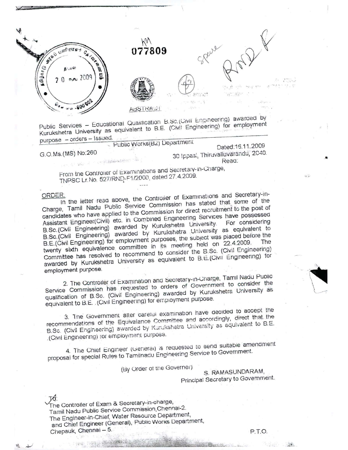

Public Services - Educational Qualification B.Sc.(Civil Engineering) awarded by Kurukshetra University as equivalent to B.E. (Civil Engineering) for employment purpose - orders - Issued.

Public Works(B2) Department

G.O.Ms. (MS) No:260

 $\label{eq:1} \mathcal{L}_{\mathcal{L}} = \mathcal{L}(\mathbf{e}_{\mathcal{L}} - \mathcal{L}) = \mathcal{L} \left( \mathcal{L} \right) \mathcal{L} \mathcal{L} \mathcal{L} \mathcal{L} \mathcal{L} \mathcal{L} \mathcal{L} \mathcal{L} \mathcal{L} \mathcal{L} \mathcal{L} \mathcal{L} \mathcal{L}$ 

Dated:16.11.2009 30 Ippasi, Thiruvalluvarandu, 2040. Read:

From the Controller of Examinations and Secretary-In-Charge, TNPSC Lr.No. 527/RND-F1/2000, dated 27.4.2009.

## ORDER.

In the letter read above, the Controller of Examinations and Secretary-in-Charge, Tamil Nadu Public Service Commission has stated that some of the candidates who have applied to the Commission for direct recruitment to the post of Assistant Engineer(Civil) etc. in Combined Engineering Services have possessed B.Sc. (Civil Engineering) awarded by Kurukshetra University. B.Sc.(Civil Engineering) awarded by Kurukshetra University as equivalent to B.E.(Civil Engineering) for employment purposes, the subject was placed before the twenty sixth equivalence committee in its meeting held on 22.4.2009. Committee has resolved to recommend to consider the B.Sc. (Civil Engineering) awarded by Kurukshetra University as equivalent to B.E. (Civil Engineering) for employment purpose.

2. The Controller of Examination and Secretary-in-Charge, Tamil Nadu Public Service Commission has requested to orders of Government to consider the qualification of B.Sc. (Civil Engineering) awarded by Kurukshetra University as equivalent to B.E. (Civil Engineering) for employment purpose.

3. The Government after careful examination have decided to accept the recommendations of the Equivalance Committee and accordingly, direct that the B.Sc. (Civil Engineering) awarded by Kurukshetra University as equivalent to B.E. (Civil Engineering) for employment purpose.

4. The Chief Engineer (General) is requested to send suitable amendment proposal for special Rules to Tamilnadu Engineering Service to Government.

(By Order of the Governer)

S. RAMASUNDARAM, Principal Secretary to Government.

The Controller of Exam & Secretary-in-charge, Tamil Nadu Public Service Commission Chennal-2. The Engineer-in-Chief, Water Resource Department, and Chief Engineer (General), Public Works Department, Chepauk, Chennai - 5.

P.T.O.

275